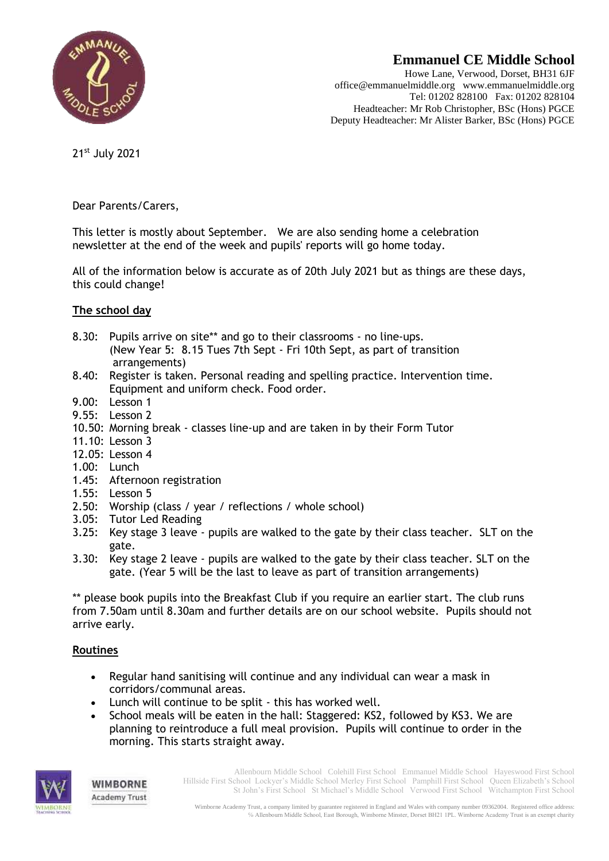

# **Emmanuel CE Middle School**

Howe Lane, Verwood, Dorset, BH31 6JF office@emmanuelmiddle.org www.emmanuelmiddle.org Tel: 01202 828100 Fax: 01202 828104 Headteacher: Mr Rob Christopher, BSc (Hons) PGCE Deputy Headteacher: Mr Alister Barker, BSc (Hons) PGCE

21st July 2021

Dear Parents/Carers,

This letter is mostly about September. We are also sending home a celebration newsletter at the end of the week and pupils' reports will go home today.

All of the information below is accurate as of 20th July 2021 but as things are these days, this could change!

## **The school day**

- 8.30: Pupils arrive on site\*\* and go to their classrooms no line-ups. (New Year 5: 8.15 Tues 7th Sept - Fri 10th Sept, as part of transition arrangements)
- 8.40: Register is taken. Personal reading and spelling practice. Intervention time. Equipment and uniform check. Food order.
- 9.00: Lesson 1
- 9.55: Lesson 2
- 10.50: Morning break classes line-up and are taken in by their Form Tutor
- 11.10: Lesson 3
- 12.05: Lesson 4
- 1.00: Lunch
- 1.45: Afternoon registration
- 1.55: Lesson 5
- 2.50: Worship (class / year / reflections / whole school)
- 3.05: Tutor Led Reading
- 3.25: Key stage 3 leave pupils are walked to the gate by their class teacher. SLT on the gate.
- 3.30: Key stage 2 leave pupils are walked to the gate by their class teacher. SLT on the gate. (Year 5 will be the last to leave as part of transition arrangements)

\*\* please book pupils into the Breakfast Club if you require an earlier start. The club runs from 7.50am until 8.30am and further details are on our school website. Pupils should not arrive early.

## **Routines**

WIMBORNE **Academy Trust** 

- Regular hand sanitising will continue and any individual can wear a mask in corridors/communal areas.
- Lunch will continue to be split this has worked well.
- School meals will be eaten in the hall: Staggered: KS2, followed by KS3. We are planning to reintroduce a full meal provision. Pupils will continue to order in the morning. This starts straight away.



Allenbourn Middle School Colehill First School Emmanuel Middle School Hayeswood First School Hillside First School Lockyer's Middle School Merley First School Pamphill First School Queen Elizabeth's School St John's First School St Michael's Middle School Verwood First School Witchampton First School